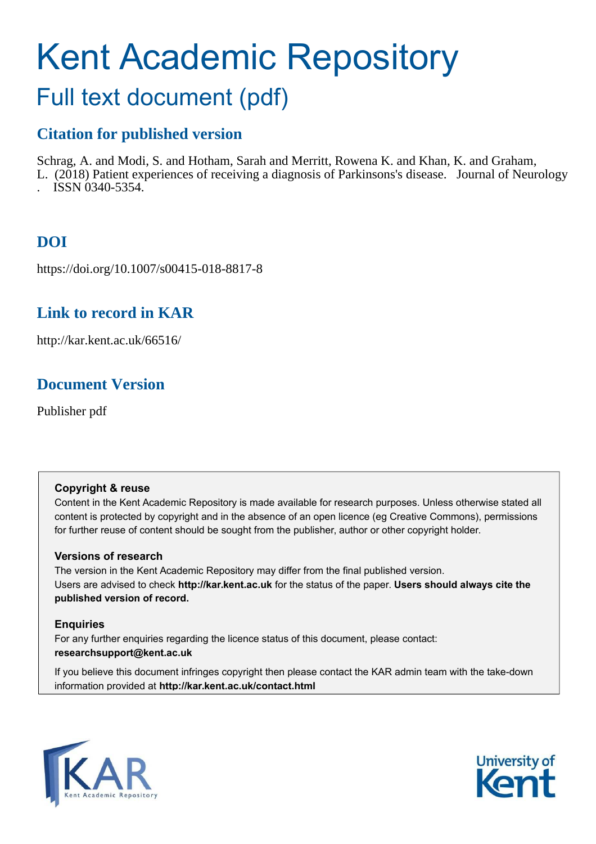# Kent Academic Repository

## Full text document (pdf)

## **Citation for published version**

Schrag, A. and Modi, S. and Hotham, Sarah and Merritt, Rowena K. and Khan, K. and Graham, L. (2018) Patient experiences of receiving a diagnosis of Parkinsons's disease. Journal of Neurology . **ISSN** 0340-5354.

## **DOI**

https://doi.org/10.1007/s00415-018-8817-8

## **Link to record in KAR**

http://kar.kent.ac.uk/66516/

## **Document Version**

Publisher pdf

#### **Copyright & reuse**

Content in the Kent Academic Repository is made available for research purposes. Unless otherwise stated all content is protected by copyright and in the absence of an open licence (eg Creative Commons), permissions for further reuse of content should be sought from the publisher, author or other copyright holder.

#### **Versions of research**

The version in the Kent Academic Repository may differ from the final published version. Users are advised to check **http://kar.kent.ac.uk** for the status of the paper. **Users should always cite the published version of record.**

#### **Enquiries**

For any further enquiries regarding the licence status of this document, please contact: **researchsupport@kent.ac.uk**

If you believe this document infringes copyright then please contact the KAR admin team with the take-down information provided at **http://kar.kent.ac.uk/contact.html**



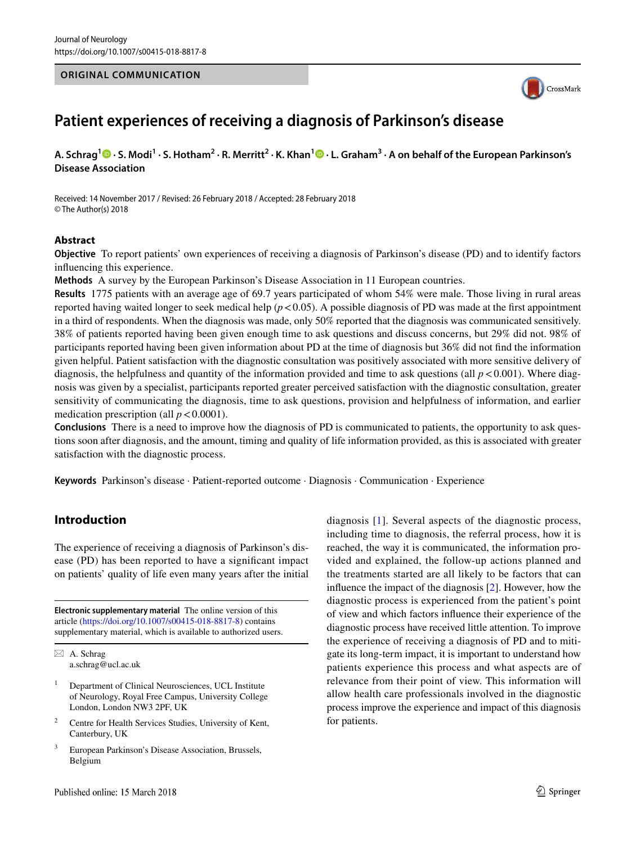#### **ORIGINAL COMMUNICATION**



### **Patient experiences of receiving a diagnosis of Parkinson's disease**

A.Schrag<sup>1</sup>® [·](http://orcid.org/0000-0003-3836-2827) S. Modi<sup>1</sup> · S. Hotham<sup>2</sup> · R. Merritt<sup>2</sup> · K. Khan<sup>1</sup>® · L. Graham<sup>3</sup> · A on behalf of the European Parkinson's **Disease Association**

Received: 14 November 2017 / Revised: 26 February 2018 / Accepted: 28 February 2018 © The Author(s) 2018

#### **Abstract**

**Objective** To report patients' own experiences of receiving a diagnosis of Parkinson's disease (PD) and to identify factors influencing this experience.

**Methods** A survey by the European Parkinson's Disease Association in 11 European countries.

**Results** 1775 patients with an average age of 69.7 years participated of whom 54% were male. Those living in rural areas reported having waited longer to seek medical help ( $p < 0.05$ ). A possible diagnosis of PD was made at the first appointment in a third of respondents. When the diagnosis was made, only 50% reported that the diagnosis was communicated sensitively. 38% of patients reported having been given enough time to ask questions and discuss concerns, but 29% did not. 98% of participants reported having been given information about PD at the time of diagnosis but 36% did not ind the information given helpful. Patient satisfaction with the diagnostic consultation was positively associated with more sensitive delivery of diagnosis, the helpfulness and quantity of the information provided and time to ask questions (all  $p < 0.001$ ). Where diagnosis was given by a specialist, participants reported greater perceived satisfaction with the diagnostic consultation, greater sensitivity of communicating the diagnosis, time to ask questions, provision and helpfulness of information, and earlier medication prescription (all  $p < 0.0001$ ).

**Conclusions** There is a need to improve how the diagnosis of PD is communicated to patients, the opportunity to ask questions soon after diagnosis, and the amount, timing and quality of life information provided, as this is associated with greater satisfaction with the diagnostic process.

**Keywords** Parkinson's disease · Patient-reported outcome · Diagnosis · Communication · Experience

#### **Introduction**

<span id="page-1-0"></span>The experience of receiving a diagnosis of Parkinson's disease (PD) has been reported to have a significant impact on patients' quality of life even many years after the initial

**Electronic supplementary material** The online version of this article (https://doi.org/10.1007/s00415-018-8817-8) contains supplementary material, which is available to authorized users.

- 1 Department of Clinical Neurosciences, UCL Institute of Neurology, Royal Free Campus, University College London, London NW3 2PF, UK
- 2 Centre for Health Services Studies, University of Kent, Canterbury, UK
- 3 European Parkinson's Disease Association, Brussels, Belgium

diagnosis [[1\]](#page-5-0). Several aspects of the diagnostic process, including time to diagnosis, the referral process, how it is reached, the way it is communicated, the information provided and explained, the follow-up actions planned and the treatments started are all likely to be factors that can influence the impact of the diagnosis  $[2]$  $[2]$ . However, how the diagnostic process is experienced from the patient's point of view and which factors inluence their experience of the diagnostic process have received little attention. To improve the experience of receiving a diagnosis of PD and to mitigate its long-term impact, it is important to understand how patients experience this process and what aspects are of relevance from their point of view. This information will allow health care professionals involved in the diagnostic process improve the experience and impact of this diagnosis for patients.

 $\boxtimes$  A. Schrag a.schrag@ucl.ac.uk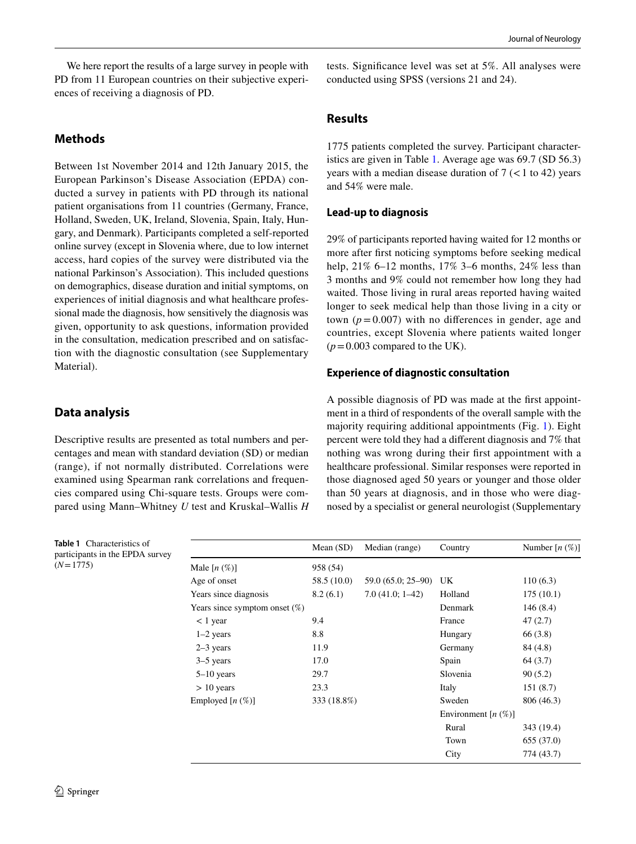<span id="page-2-0"></span>We here report the results of a large survey in people with PD from 11 European countries on their subjective experiences of receiving a diagnosis of PD.

#### **Methods**

Between 1st November 2014 and 12th January 2015, the European Parkinson's Disease Association (EPDA) conducted a survey in patients with PD through its national patient organisations from 11 countries (Germany, France, Holland, Sweden, UK, Ireland, Slovenia, Spain, Italy, Hungary, and Denmark). Participants completed a self-reported online survey (except in Slovenia where, due to low internet access, hard copies of the survey were distributed via the national Parkinson's Association). This included questions on demographics, disease duration and initial symptoms, on experiences of initial diagnosis and what healthcare professional made the diagnosis, how sensitively the diagnosis was given, opportunity to ask questions, information provided in the consultation, medication prescribed and on satisfaction with the diagnostic consultation (see Supplementary Material).

#### **Data analysis**

**Table 1** Characteristics of participants in the EPDA

 $(N=1775)$ 

Descriptive results are presented as total numbers and percentages and mean with standard deviation (SD) or median (range), if not normally distributed. Correlations were examined using Spearman rank correlations and frequencies compared using Chi-square tests. Groups were compared using Mann–Whitney *U* test and Kruskal–Wallis *H* Journal of Neurology

tests. Significance level was set at 5%. All analyses were conducted using SPSS (versions 21 and 24).

#### **Results**

1775 patients completed the survey. Participant characteristics are given in Table [1](#page-1-0). Average age was 69.7 (SD 56.3) years with a median disease duration of  $7$  ( $< 1$  to 42) years and 54% were male.

#### **Lead‑up to diagnosis**

29% of participants reported having waited for 12 months or more after irst noticing symptoms before seeking medical help, 21% 6–12 months, 17% 3–6 months, 24% less than 3 months and 9% could not remember how long they had waited. Those living in rural areas reported having waited longer to seek medical help than those living in a city or town  $(p=0.007)$  with no differences in gender, age and countries, except Slovenia where patients waited longer  $(p=0.003$  compared to the UK).

#### **Experience of diagnostic consultation**

A possible diagnosis of PD was made at the irst appointment in a third of respondents of the overall sample with the majority requiring additional appointments (Fig. [1](#page-2-0)). Eight percent were told they had a diferent diagnosis and 7% that nothing was wrong during their first appointment with a healthcare professional. Similar responses were reported in those diagnosed aged 50 years or younger and those older than 50 years at diagnosis, and in those who were diagnosed by a specialist or general neurologist (Supplementary

|                                  | Mean $(SD)$ | Median (range)     | Country                | Number $[n (\%)]$ |
|----------------------------------|-------------|--------------------|------------------------|-------------------|
| Male $[n \left( % \right)]$      | 958 (54)    |                    |                        |                   |
| Age of onset                     | 58.5 (10.0) | 59.0 (65.0; 25–90) | UK.                    | 110(6.3)          |
| Years since diagnosis            | 8.2(6.1)    | $7.0(41.0; 1-42)$  | Holland                | 175(10.1)         |
| Years since symptom onset $(\%)$ |             |                    | Denmark                | 146(8.4)          |
| $<$ 1 year                       | 9.4         |                    | France                 | 47(2.7)           |
| $1-2$ years                      | 8.8         |                    | Hungary                | 66 (3.8)          |
| $2-3$ years                      | 11.9        |                    | Germany                | 84 (4.8)          |
| $3-5$ years                      | 17.0        |                    | Spain                  | 64(3.7)           |
| $5-10$ years                     | 29.7        |                    | Slovenia               | 90(5.2)           |
| $> 10$ years                     | 23.3        |                    | Italy                  | 151(8.7)          |
| Employed $[n (\%)]$              | 333 (18.8%) |                    | Sweden                 | 806 (46.3)        |
|                                  |             |                    | Environment [ $n$ (%)] |                   |
|                                  |             |                    | Rural                  | 343 (19.4)        |
|                                  |             |                    | Town                   | 655 (37.0)        |
|                                  |             |                    | City                   | 774 (43.7)        |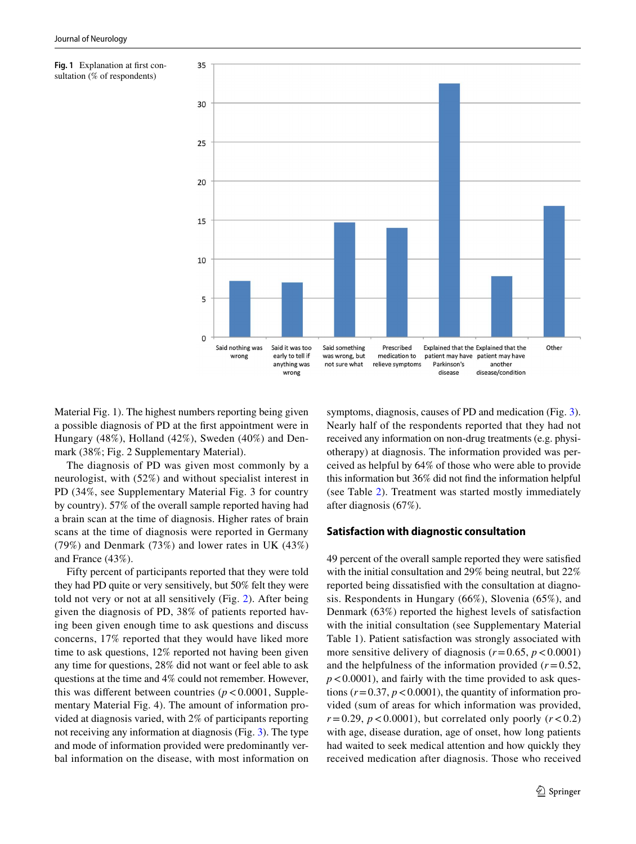<span id="page-3-0"></span>



<span id="page-3-1"></span>Material Fig. 1). The highest numbers reporting being given a possible diagnosis of PD at the irst appointment were in Hungary (48%), Holland (42%), Sweden (40%) and Denmark (38%; Fig. 2 Supplementary Material).

The diagnosis of PD was given most commonly by a neurologist, with (52%) and without specialist interest in PD (34%, see Supplementary Material Fig. 3 for country by country). 57% of the overall sample reported having had a brain scan at the time of diagnosis. Higher rates of brain scans at the time of diagnosis were reported in Germany (79%) and Denmark (73%) and lower rates in UK (43%) and France (43%).

Fifty percent of participants reported that they were told they had PD quite or very sensitively, but 50% felt they were told not very or not at all sensitively (Fig. [2\)](#page-3-0). After being given the diagnosis of PD, 38% of patients reported having been given enough time to ask questions and discuss concerns, 17% reported that they would have liked more time to ask questions, 12% reported not having been given any time for questions, 28% did not want or feel able to ask questions at the time and 4% could not remember. However, this was diferent between countries (*p* < 0.0001, Supplementary Material Fig. 4). The amount of information provided at diagnosis varied, with 2% of participants reporting not receiving any information at diagnosis (Fig. [3](#page-3-1)). The type and mode of information provided were predominantly verbal information on the disease, with most information on symptoms, diagnosis, causes of PD and medication (Fig. [3](#page-3-1)). Nearly half of the respondents reported that they had not received any information on non-drug treatments (e.g. physiotherapy) at diagnosis. The information provided was perceived as helpful by 64% of those who were able to provide this information but 36% did not find the information helpful (see Table [2](#page-4-0)). Treatment was started mostly immediately after diagnosis (67%).

#### **Satisfaction with diagnostic consultation**

49 percent of the overall sample reported they were satisied with the initial consultation and 29% being neutral, but 22% reported being dissatisied with the consultation at diagnosis. Respondents in Hungary (66%), Slovenia (65%), and Denmark (63%) reported the highest levels of satisfaction with the initial consultation (see Supplementary Material Table 1). Patient satisfaction was strongly associated with more sensitive delivery of diagnosis  $(r=0.65, p<0.0001)$ and the helpfulness of the information provided  $(r = 0.52)$ ,  $p < 0.0001$ ), and fairly with the time provided to ask questions  $(r=0.37, p<0.0001)$ , the quantity of information provided (sum of areas for which information was provided,  $r = 0.29$ ,  $p < 0.0001$ ), but correlated only poorly ( $r < 0.2$ ) with age, disease duration, age of onset, how long patients had waited to seek medical attention and how quickly they received medication after diagnosis. Those who received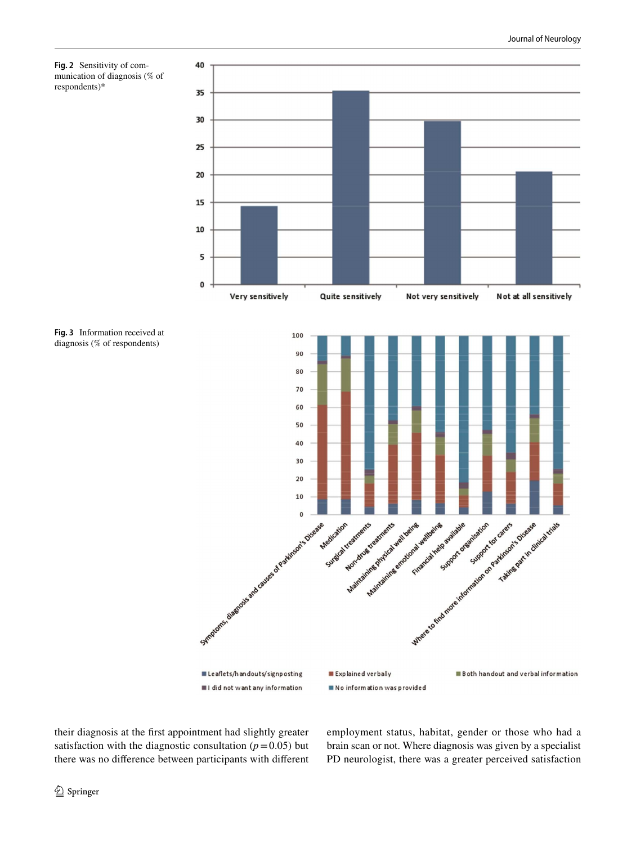<span id="page-4-0"></span>



**Fig. 3** Information received at diagnosis (% of respondents)



their diagnosis at the first appointment had slightly greater satisfaction with the diagnostic consultation  $(p=0.05)$  but there was no diference between participants with diferent employment status, habitat, gender or those who had a brain scan or not. Where diagnosis was given by a specialist PD neurologist, there was a greater perceived satisfaction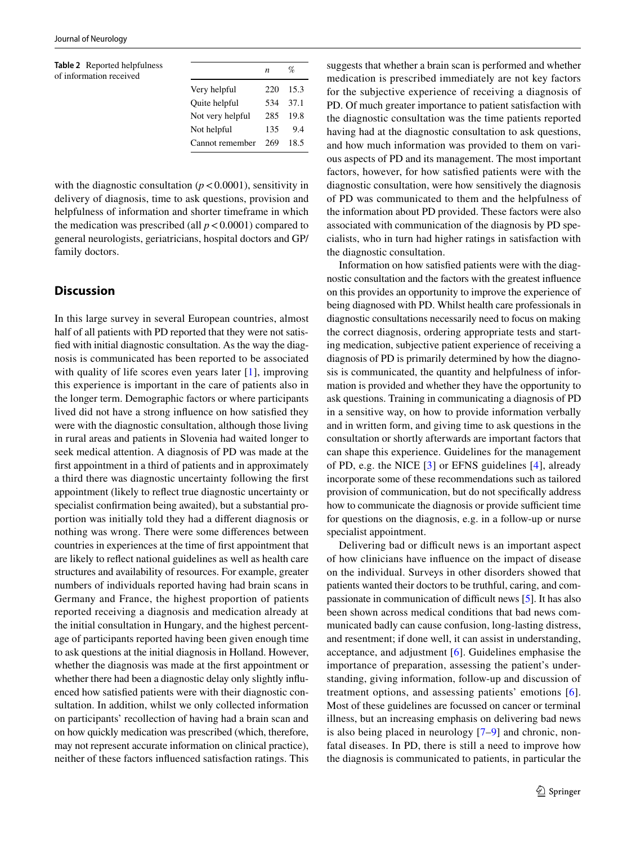**Table 2** Reported helpfulness of information received

|                      | n   | %    |
|----------------------|-----|------|
| Very helpful         | 220 | 15.3 |
| <b>Ouite helpful</b> | 534 | 37.1 |
| Not very helpful     | 285 | 19.8 |
| Not helpful          | 135 | 9.4  |
| Cannot remember      | 269 | 18.5 |

with the diagnostic consultation  $(p < 0.0001)$ , sensitivity in delivery of diagnosis, time to ask questions, provision and helpfulness of information and shorter timeframe in which the medication was prescribed (all  $p < 0.0001$ ) compared to general neurologists, geriatricians, hospital doctors and GP/ family doctors.

#### **Discussion**

In this large survey in several European countries, almost half of all patients with PD reported that they were not satisfied with initial diagnostic consultation. As the way the diagnosis is communicated has been reported to be associated with quality of life scores even years later [\[1\]](#page-5-0), improving this experience is important in the care of patients also in the longer term. Demographic factors or where participants lived did not have a strong influence on how satisfied they were with the diagnostic consultation, although those living in rural areas and patients in Slovenia had waited longer to seek medical attention. A diagnosis of PD was made at the first appointment in a third of patients and in approximately a third there was diagnostic uncertainty following the first appointment (likely to reflect true diagnostic uncertainty or specialist confirmation being awaited), but a substantial proportion was initially told they had a diferent diagnosis or nothing was wrong. There were some diferences between countries in experiences at the time of irst appointment that are likely to reflect national guidelines as well as health care structures and availability of resources. For example, greater numbers of individuals reported having had brain scans in Germany and France, the highest proportion of patients reported receiving a diagnosis and medication already at the initial consultation in Hungary, and the highest percentage of participants reported having been given enough time to ask questions at the initial diagnosis in Holland. However, whether the diagnosis was made at the first appointment or whether there had been a diagnostic delay only slightly influenced how satisied patients were with their diagnostic consultation. In addition, whilst we only collected information on participants' recollection of having had a brain scan and on how quickly medication was prescribed (which, therefore, may not represent accurate information on clinical practice), neither of these factors inluenced satisfaction ratings. This suggests that whether a brain scan is performed and whether medication is prescribed immediately are not key factors for the subjective experience of receiving a diagnosis of PD. Of much greater importance to patient satisfaction with the diagnostic consultation was the time patients reported having had at the diagnostic consultation to ask questions, and how much information was provided to them on various aspects of PD and its management. The most important factors, however, for how satisied patients were with the diagnostic consultation, were how sensitively the diagnosis of PD was communicated to them and the helpfulness of the information about PD provided. These factors were also associated with communication of the diagnosis by PD specialists, who in turn had higher ratings in satisfaction with the diagnostic consultation.

Information on how satisied patients were with the diagnostic consultation and the factors with the greatest inluence on this provides an opportunity to improve the experience of being diagnosed with PD. Whilst health care professionals in diagnostic consultations necessarily need to focus on making the correct diagnosis, ordering appropriate tests and starting medication, subjective patient experience of receiving a diagnosis of PD is primarily determined by how the diagnosis is communicated, the quantity and helpfulness of information is provided and whether they have the opportunity to ask questions. Training in communicating a diagnosis of PD in a sensitive way, on how to provide information verbally and in written form, and giving time to ask questions in the consultation or shortly afterwards are important factors that can shape this experience. Guidelines for the management of PD, e.g. the NICE [[3](#page-5-2)] or EFNS guidelines [[4](#page-5-3)], already incorporate some of these recommendations such as tailored provision of communication, but do not specifically address how to communicate the diagnosis or provide sufficient time for questions on the diagnosis, e.g. in a follow-up or nurse specialist appointment.

<span id="page-5-5"></span><span id="page-5-4"></span><span id="page-5-3"></span><span id="page-5-2"></span><span id="page-5-1"></span><span id="page-5-0"></span>Delivering bad or difficult news is an important aspect of how clinicians have inluence on the impact of disease on the individual. Surveys in other disorders showed that patients wanted their doctors to be truthful, caring, and compassionate in communication of difficult news  $[5]$  $[5]$ . It has also been shown across medical conditions that bad news communicated badly can cause confusion, long-lasting distress, and resentment; if done well, it can assist in understanding, acceptance, and adjustment [\[6](#page-5-5)]. Guidelines emphasise the importance of preparation, assessing the patient's understanding, giving information, follow-up and discussion of treatment options, and assessing patients' emotions [[6](#page-5-5)]. Most of these guidelines are focussed on cancer or terminal illness, but an increasing emphasis on delivering bad news is also being placed in neurology [[7](#page-6-0)[–9](#page-6-1)] and chronic, nonfatal diseases. In PD, there is still a need to improve how the diagnosis is communicated to patients, in particular the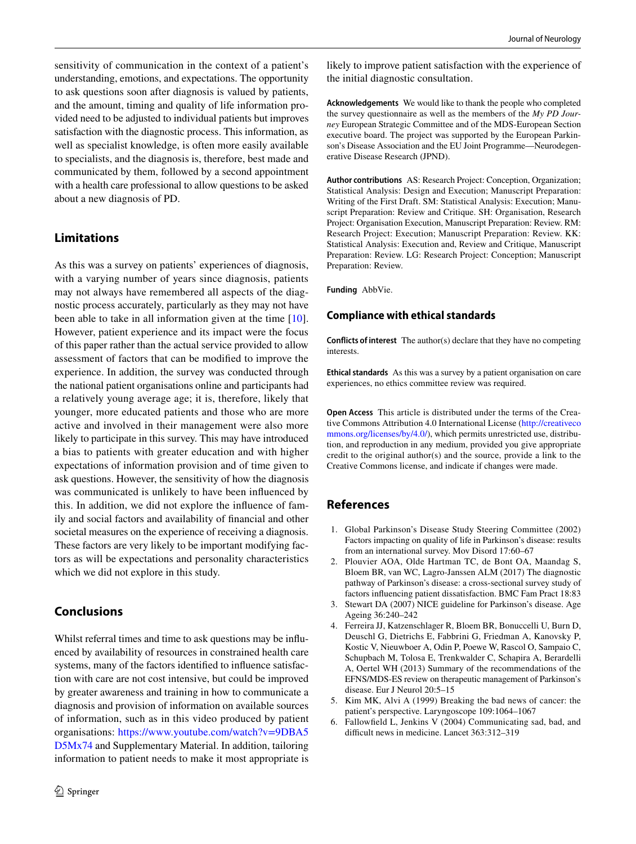<span id="page-6-0"></span>sensitivity of communication in the context of a patient's understanding, emotions, and expectations. The opportunity to ask questions soon after diagnosis is valued by patients, and the amount, timing and quality of life information provided need to be adjusted to individual patients but improves satisfaction with the diagnostic process. This information, as well as specialist knowledge, is often more easily available to specialists, and the diagnosis is, therefore, best made and communicated by them, followed by a second appointment with a health care professional to allow questions to be asked about a new diagnosis of PD.

#### **Limitations**

As this was a survey on patients' experiences of diagnosis, with a varying number of years since diagnosis, patients may not always have remembered all aspects of the diagnostic process accurately, particularly as they may not have been able to take in all information given at the time [\[10](#page-6-2)]. However, patient experience and its impact were the focus of this paper rather than the actual service provided to allow assessment of factors that can be modified to improve the experience. In addition, the survey was conducted through the national patient organisations online and participants had a relatively young average age; it is, therefore, likely that younger, more educated patients and those who are more active and involved in their management were also more likely to participate in this survey. This may have introduced a bias to patients with greater education and with higher expectations of information provision and of time given to ask questions. However, the sensitivity of how the diagnosis was communicated is unlikely to have been influenced by this. In addition, we did not explore the influence of family and social factors and availability of financial and other societal measures on the experience of receiving a diagnosis. These factors are very likely to be important modifying factors as will be expectations and personality characteristics which we did not explore in this study.

#### **Conclusions**

Whilst referral times and time to ask questions may be influenced by availability of resources in constrained health care systems, many of the factors identified to influence satisfaction with care are not cost intensive, but could be improved by greater awareness and training in how to communicate a diagnosis and provision of information on available sources of information, such as in this video produced by patient organisations: https://www.youtube.com/watch?v=9DBA5 D5Mx74 and Supplementary Material. In addition, tailoring information to patient needs to make it most appropriate is

<span id="page-6-1"></span>likely to improve patient satisfaction with the experience of the initial diagnostic consultation.

<span id="page-6-2"></span>**Acknowledgements** We would like to thank the people who completed the survey questionnaire as well as the members of the *My PD Journey* European Strategic Committee and of the MDS-European Section executive board. The project was supported by the European Parkinson's Disease Association and the EU Joint Programme—Neurodegenerative Disease Research (JPND).

**Author contributions** AS: Research Project: Conception, Organization; Statistical Analysis: Design and Execution; Manuscript Preparation: Writing of the First Draft. SM: Statistical Analysis: Execution; Manuscript Preparation: Review and Critique. SH: Organisation, Research Project: Organisation Execution, Manuscript Preparation: Review. RM: Research Project: Execution; Manuscript Preparation: Review. KK: Statistical Analysis: Execution and, Review and Critique, Manuscript Preparation: Review. LG: Research Project: Conception; Manuscript Preparation: Review.

**Funding** AbbVie.

#### **Compliance with ethical standards**

**Conflicts of interest** The author(s) declare that they have no competing interests.

**Ethical standards** As this was a survey by a patient organisation on care experiences, no ethics committee review was required.

**Open Access** This article is distributed under the terms of the Creative Commons Attribution 4.0 International License (http://creativeco mmons.org/licenses/by/4.0/), which permits unrestricted use, distribution, and reproduction in any medium, provided you give appropriate credit to the original author(s) and the source, provide a link to the Creative Commons license, and indicate if changes were made.

#### **References**

- 1. Global Parkinson's Disease Study Steering Committee (2002) Factors impacting on quality of life in Parkinson's disease: results from an international survey. Mov Disord 17:60–67
- 2. Plouvier AOA, Olde Hartman TC, de Bont OA, Maandag S, Bloem BR, van WC, Lagro-Janssen ALM (2017) The diagnostic pathway of Parkinson's disease: a cross-sectional survey study of factors inluencing patient dissatisfaction. BMC Fam Pract 18:83
- 3. Stewart DA (2007) NICE guideline for Parkinson's disease. Age Ageing 36:240–242
- 4. Ferreira JJ, Katzenschlager R, Bloem BR, Bonuccelli U, Burn D, Deuschl G, Dietrichs E, Fabbrini G, Friedman A, Kanovsky P, Kostic V, Nieuwboer A, Odin P, Poewe W, Rascol O, Sampaio C, Schupbach M, Tolosa E, Trenkwalder C, Schapira A, Berardelli A, Oertel WH (2013) Summary of the recommendations of the EFNS/MDS-ES review on therapeutic management of Parkinson's disease. Eur J Neurol 20:5–15
- 5. Kim MK, Alvi A (1999) Breaking the bad news of cancer: the patient's perspective. Laryngoscope 109:1064–1067
- 6. Fallowield L, Jenkins V (2004) Communicating sad, bad, and difficult news in medicine. Lancet 363:312-319